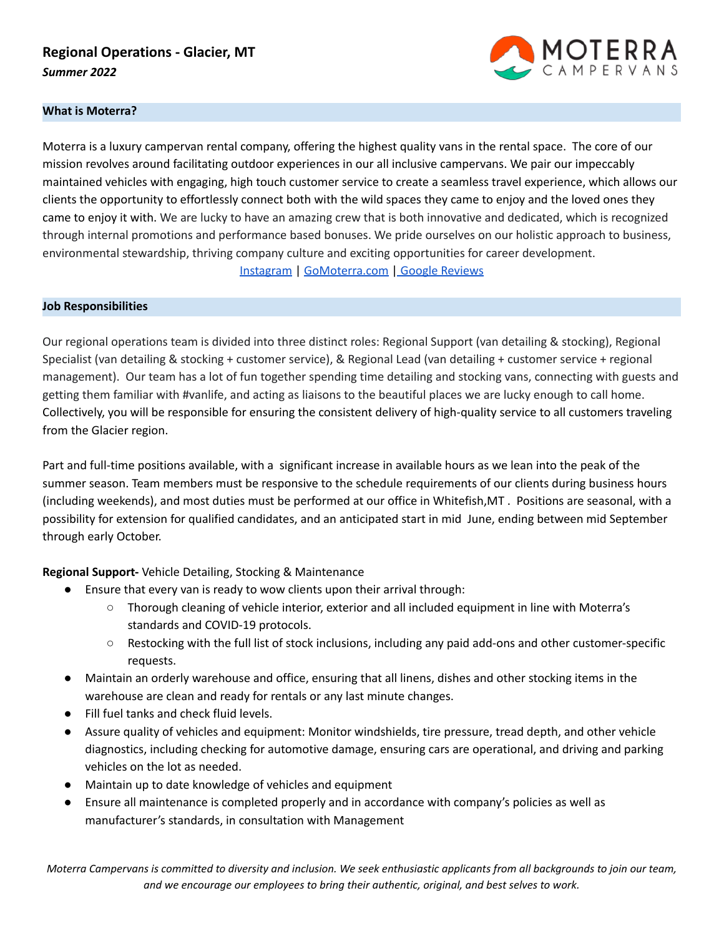# **Regional Operations - Glacier, MT** *Summer 2022*



### **What is Moterra?**

Moterra is a luxury campervan rental company, offering the highest quality vans in the rental space. The core of our mission revolves around facilitating outdoor experiences in our all inclusive campervans. We pair our impeccably maintained vehicles with engaging, high touch customer service to create a seamless travel experience, which allows our clients the opportunity to effortlessly connect both with the wild spaces they came to enjoy and the loved ones they came to enjoy it with. We are lucky to have an amazing crew that is both innovative and dedicated, which is recognized through internal promotions and performance based bonuses. We pride ourselves on our holistic approach to business, environmental stewardship, thriving company culture and exciting opportunities for career development. [Instagram](https://www.instagram.com/gomoterra/?hl=en) | [GoMoterra.com](http://gomoterra.com) | Google [Reviews](https://www.google.com/search?q=moterra+jackson+wy&oq=moterra+jackson+wy&aqs=chrome.0.69i59j69i64.3481j0j7&sourceid=chrome&ie=UTF-8#lrd=0x535317380268c6dd:0x90b890dfef0bc901,1,,,)

#### **Job Responsibilities**

Our regional operations team is divided into three distinct roles: Regional Support (van detailing & stocking), Regional Specialist (van detailing & stocking + customer service), & Regional Lead (van detailing + customer service + regional management). Our team has a lot of fun together spending time detailing and stocking vans, connecting with guests and getting them familiar with #vanlife, and acting as liaisons to the beautiful places we are lucky enough to call home. Collectively, you will be responsible for ensuring the consistent delivery of high-quality service to all customers traveling from the Glacier region.

Part and full-time positions available, with a significant increase in available hours as we lean into the peak of the summer season. Team members must be responsive to the schedule requirements of our clients during business hours (including weekends), and most duties must be performed at our office in Whitefish,MT . Positions are seasonal, with a possibility for extension for qualified candidates, and an anticipated start in mid June, ending between mid September through early October.

**Regional Support-** Vehicle Detailing, Stocking & Maintenance

- Ensure that every van is ready to wow clients upon their arrival through:
	- Thorough cleaning of vehicle interior, exterior and all included equipment in line with Moterra's standards and COVID-19 protocols.
	- Restocking with the full list of stock inclusions, including any paid add-ons and other customer-specific requests.
- Maintain an orderly warehouse and office, ensuring that all linens, dishes and other stocking items in the warehouse are clean and ready for rentals or any last minute changes.
- Fill fuel tanks and check fluid levels.
- Assure quality of vehicles and equipment: Monitor windshields, tire pressure, tread depth, and other vehicle diagnostics, including checking for automotive damage, ensuring cars are operational, and driving and parking vehicles on the lot as needed.
- Maintain up to date knowledge of vehicles and equipment
- Ensure all maintenance is completed properly and in accordance with company's policies as well as manufacturer's standards, in consultation with Management

Moterra Campervans is committed to diversity and inclusion. We seek enthusiastic applicants from all backgrounds to join our team, *and we encourage our employees to bring their authentic, original, and best selves to work.*